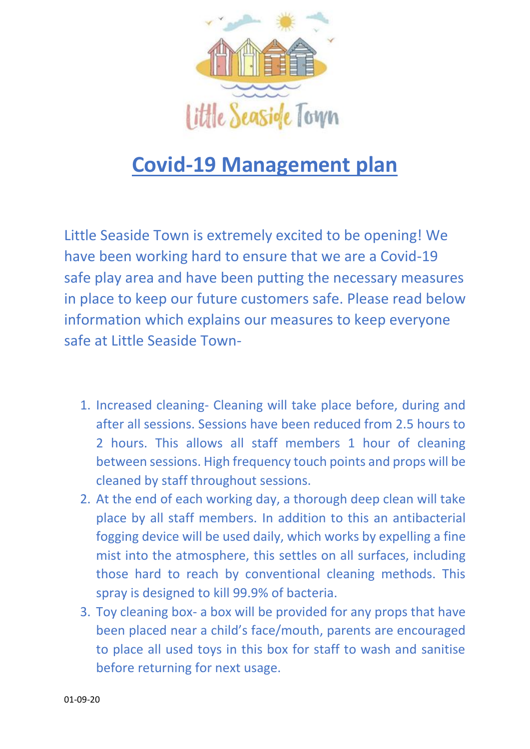

## **Covid-19 Management plan**

Little Seaside Town is extremely excited to be opening! We have been working hard to ensure that we are a Covid-19 safe play area and have been putting the necessary measures in place to keep our future customers safe. Please read below information which explains our measures to keep everyone safe at Little Seaside Town-

- 1. Increased cleaning- Cleaning will take place before, during and after all sessions. Sessions have been reduced from 2.5 hours to 2 hours. This allows all staff members 1 hour of cleaning between sessions. High frequency touch points and props will be cleaned by staff throughout sessions.
- 2. At the end of each working day, a thorough deep clean will take place by all staff members. In addition to this an antibacterial fogging device will be used daily, which works by expelling a fine mist into the atmosphere, this settles on all surfaces, including those hard to reach by conventional cleaning methods. This spray is designed to kill 99.9% of bacteria.
- 3. Toy cleaning box- a box will be provided for any props that have been placed near a child's face/mouth, parents are encouraged to place all used toys in this box for staff to wash and sanitise before returning for next usage.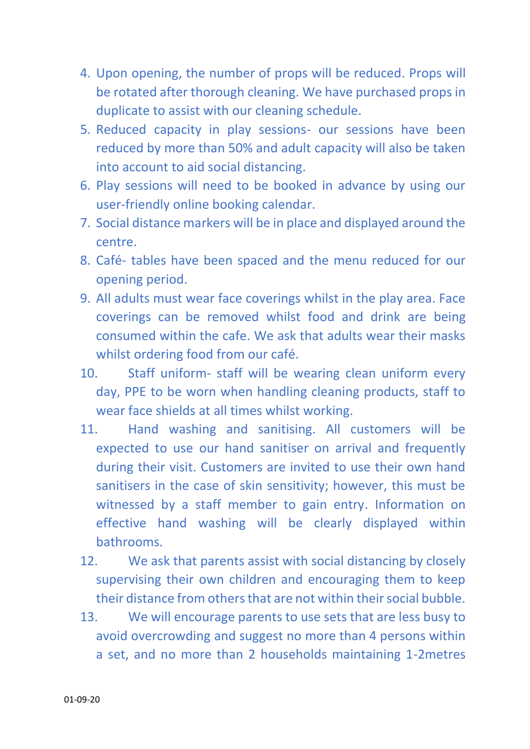- 4. Upon opening, the number of props will be reduced. Props will be rotated after thorough cleaning. We have purchased props in duplicate to assist with our cleaning schedule.
- 5. Reduced capacity in play sessions- our sessions have been reduced by more than 50% and adult capacity will also be taken into account to aid social distancing.
- 6. Play sessions will need to be booked in advance by using our user-friendly online booking calendar.
- 7. Social distance markers will be in place and displayed around the centre.
- 8. Café- tables have been spaced and the menu reduced for our opening period.
- 9. All adults must wear face coverings whilst in the play area. Face coverings can be removed whilst food and drink are being consumed within the cafe. We ask that adults wear their masks whilst ordering food from our café.
- 10. Staff uniform- staff will be wearing clean uniform every day, PPE to be worn when handling cleaning products, staff to wear face shields at all times whilst working.
- 11. Hand washing and sanitising. All customers will be expected to use our hand sanitiser on arrival and frequently during their visit. Customers are invited to use their own hand sanitisers in the case of skin sensitivity; however, this must be witnessed by a staff member to gain entry. Information on effective hand washing will be clearly displayed within bathrooms.
- 12. We ask that parents assist with social distancing by closely supervising their own children and encouraging them to keep their distance from others that are not within their social bubble.
- 13. We will encourage parents to use sets that are less busy to avoid overcrowding and suggest no more than 4 persons within a set, and no more than 2 households maintaining 1-2metres